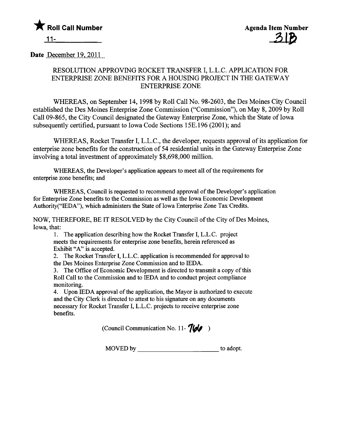

Date December 19, 2011

## RESOLUTION APPROVING ROCKET TRANSFER I, L.L.C. APPLICATION FOR ENTERPRISE ZONE BENEFITS FOR A HOUSING PROJECT IN THE GATEWAY ENTERPRISE ZONE

WHEREAS, on September 14, 1998 by Roll Call No. 98-2603, the Des Moines City Council established the Des Moines Enterprise Zone Commission ("Commission"), on May 8, 2009 by Roll Call 09-865, the City Council designated the Gateway Enterprise Zone, which the State of Iowa subsequently certified, pursuant to Iowa Code Sections 15E.196 (2001); and

WHEREAS, Rocket Transfer I, L.L.C., the developer, requests approval of its application for enterprise zone benefits for the construction of 54 residential units in the Gateway Enterprise Zone involving a total investment of approximately \$8,698,000 milion.

WHREAS, the Developer's application appears to meet all of the requirements for enterprise zone benefits; and

WHREAS, Council is requested to recommend approval of the Developer's application for Enterprise Zone benefits to the Commission as well as the Iowa Economic Development Authority("IEDA"), which administers the State of Iowa Enterprise Zone Tax Credits.

NOW, THEREFORE, BE IT RESOLVED by the City Council of the City of Des Moines, Iowa, that:

1. The application describing how the Rocket Transfer I, L.L.C. project meets the requirements for enterprise zone benefits, herein referenced as Exhibit "A" is accepted.

2. The Rocket Transfer I, L.L.C. application is recommended for approval to the Des Moines Enterprise Zone Commission and to IEDA.

3. The Office of Economic Development is directed to transmit a copy of this Roll Call to the Commission and to IEDA and to conduct project compliance monitoring.

4. Upon IEDA approval of the application, the Mayor is authorized to execute and the City Clerk is directed to attest to his signature on any documents necessary for Rocket Transfer I, L.L.C. projects to receive enterprise zone benefits.

(Council Communication No. 11- $\frac{7}{160}$ )

MOVED by to adopt.